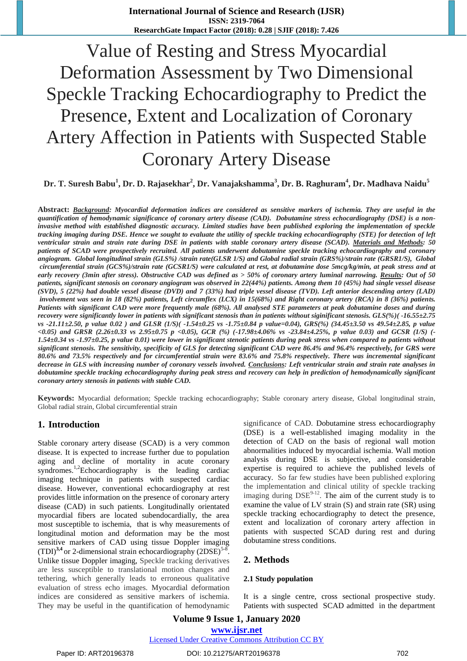# Value of Resting and Stress Myocardial Deformation Assessment by Two Dimensional Speckle Tracking Echocardiography to Predict the Presence, Extent and Localization of Coronary Artery Affection in Patients with Suspected Stable Coronary Artery Disease

**Dr. T. Suresh Babu<sup>1</sup> , Dr. D. Rajasekhar<sup>2</sup> , Dr. Vanajakshamma<sup>3</sup> , Dr. B. Raghuram<sup>4</sup> , Dr. Madhava Naidu<sup>5</sup>**

**Abstract:** *Background: Myocardial deformation indices are considered as sensitive markers of ischemia. They are useful in the quantification of hemodynamic significance of coronary artery disease (CAD). Dobutamine stress echocardiography (DSE) is a noninvasive method with established diagnostic accuracy. Limited studies have been published exploring the implementation of speckle tracking imaging during DSE. Hence we sought to evaluate the utility of speckle tracking echocardiography (STE) for detection of left ventricular strain and strain rate during DSE in patients with stable coronary artery disease (SCAD). Materials and Methods: 50 patients of SCAD were prospectively recruited. All patients underwent dobutamine speckle tracking echocardiography and coronary angiogram. Global longitudinal strain (GLS%) /strain rate(GLSR 1/S) and Global radial strain (GRS%)/strain rate (GRSR1/S), Global circumferential strain (GCS%)/strain rate (GCSR1/S) were calculated at rest, at dobutamine dose 5mcg/kg/min, at peak stress and at early recovery (3min after stress). Obstructive CAD was defined as > 50% of coronary artery luminal narrowing. Results: Out of 50 patients, significant stenosis on coronary angiogram was observed in 22(44%) patients. Among them 10 (45%) had single vessel disease (SVD), 5 (22%) had double vessel disease (DVD) and 7 (33%) had triple vessel disease (TVD). Left anterior descending artery (LAD) involvement was seen in 18 (82%) patients, Left circumflex (LCX) in 15(68%) and Right coronary artery (RCA) in 8 (36%) patients. Patients with significant CAD were more frequently male (68%). All analysed STE parameters at peak dobutamine doses and during recovery were significantly lower in patients with significant stenosis than in patients without siginificant stenosis. GLS(%)( -16.55±2.75 vs -21.11±2.50, p value 0.02 ) and GLSR (1/S)( -1.54±0.25 vs -1.75±0.84 p value=0.04), GRS(%) (34.45±3.50 vs 49.54±2.85, p value <0.05) and GRSR (2.26±0.33 vs 2.95±0.75 p <0.05), GCR (%) (-17.98±4.06% vs -23.84±4.25%, p value 0.03) and GCSR (1/S) (- 1.54±0.34 vs -1.97±0.25, p value 0.01) were lower in significant stenotic patients during peak stress when compared to patients without significant stenosis. The sensitivity, specificity of GLS for detecting significant CAD were 86.4% and 96.4% respectively, for GRS were 80.6% and 73.5% respectively and for circumferential strain were 83.6% and 75.8% respectively. There was incremental significant decrease in GLS with increasing number of coronary vessels involved. Conclusions: Left ventricular strain and strain rate analyses in dobutamine speckle tracking echocardiography during peak stress and recovery can help in prediction of hemodynamically significant coronary artery stenosis in patients with stable CAD.*

**Keywords:** Myocardial deformation; Speckle tracking echocardiography; Stable coronary artery disease, Global longitudinal strain, Global radial strain, Global circumferential strain

### **1. Introduction**

Stable coronary artery disease (SCAD) is a very common disease. It is expected to increase further due to population aging and decline of mortality in acute coronary syndromes.<sup>1,2</sup>Echocardiography is the leading cardiac imaging technique in patients with suspected cardiac disease. However, conventional echocardiography at rest provides little information on the presence of coronary artery disease (CAD) in such patients. Longitudinally orientated myocardial fibers are located subendocardially, the area most susceptible to ischemia, that is why measurements of longitudinal motion and deformation may be the most sensitive markers of CAD using tissue Doppler imaging  $(TDI)^{3,4}$  or 2-dimensional strain echocardiography  $(2DSE)^{5.8}$ . Unlike tissue Doppler imaging, Speckle tracking derivatives are less susceptible to translational motion changes and tethering, which generally leads to erroneous qualitative evaluation of stress echo images. Myocardial deformation indices are considered as sensitive markers of ischemia. They may be useful in the quantification of hemodynamic significance of CAD. Dobutamine stress echocardiography (DSE) is a well-established imaging modality in the detection of CAD on the basis of regional wall motion abnormalities induced by myocardial ischemia. Wall motion analysis during DSE is subjective, and considerable expertise is required to achieve the published levels of accuracy. So far few studies have been published exploring the implementation and clinical utility of speckle tracking imaging during  $DSE^{9-12}$ . The aim of the current study is to examine the value of LV strain (S) and strain rate (SR) using speckle tracking echocardiography to detect the presence, extent and localization of coronary artery affection in patients with suspected SCAD during rest and during dobutamine stress conditions.

### **2. Methods**

### **2.1 Study population**

It is a single centre, cross sectional prospective study. Patients with suspected SCAD admitted in the department

# **Volume 9 Issue 1, January 2020 www.ijsr.net**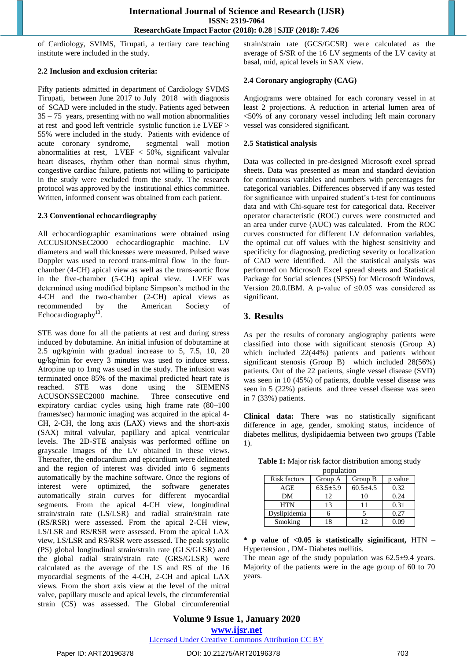of Cardiology, SVIMS, Tirupati, a tertiary care teaching institute were included in the study.

### **2.2 Inclusion and exclusion criteria:**

Fifty patients admitted in department of Cardiology SVIMS Tirupati, between June 2017 to July 2018 with diagnosis of SCAD were included in the study. Patients aged between 35 – 75 years, presenting with no wall motion abnormalities at rest and good left ventricle systolic function i.e LVEF > 55% were included in the study. Patients with evidence of acute coronary syndrome, segmental wall motion abnormalities at rest, LVEF < 50%, significant valvular heart diseases, rhythm other than normal sinus rhythm, congestive cardiac failure, patients not willing to participate in the study were excluded from the study. The research protocol was approved by the institutional ethics committee. Written, informed consent was obtained from each patient.

### **2.3 Conventional echocardiography**

All echocardiographic examinations were obtained using ACCUSIONSEC2000 echocardiographic machine. LV diameters and wall thicknesses were measured. Pulsed wave Doppler was used to record trans-mitral flow in the fourchamber (4-CH) apical view as well as the trans-aortic flow in the five-chamber (5-CH) apical view. LVEF was determined using modified biplane Simpson's method in the 4-CH and the two-chamber (2-CH) apical views as recommended by the American Society of Echocardiography<sup>13</sup> .

STE was done for all the patients at rest and during stress induced by dobutamine. An initial infusion of dobutamine at 2.5 ug/kg/min with gradual increase to 5, 7.5, 10, 20 ug/kg/min for every 3 minutes was used to induce stress. Atropine up to 1mg was used in the study. The infusion was terminated once 85% of the maximal predicted heart rate is reached. STE was done using the SIEMENS ACUSONSSEC2000 machine. Three consecutive end expiratory cardiac cycles using high frame rate (80–100 frames/sec) harmonic imaging was acquired in the apical 4- CH, 2-CH, the long axis (LAX) views and the short-axis (SAX) mitral valvular, papillary and apical ventricular levels. The 2D-STE analysis was performed offline on grayscale images of the LV obtained in these views. Thereafter, the endocardium and epicardium were delineated and the region of interest was divided into 6 segments automatically by the machine software. Once the regions of interest were optimized, the software generates automatically strain curves for different myocardial segments. From the apical 4-CH view, longitudinal strain/strain rate (LS/LSR) and radial strain/strain rate (RS/RSR) were assessed. From the apical 2-CH view, LS/LSR and RS/RSR were assessed. From the apical LAX view, LS/LSR and RS/RSR were assessed. The peak systolic (PS) global longitudinal strain/strain rate (GLS/GLSR) and the global radial strain/strain rate (GRS/GLSR) were calculated as the average of the LS and RS of the 16 myocardial segments of the 4-CH, 2-CH and apical LAX views. From the short axis view at the level of the mitral valve, papillary muscle and apical levels, the circumferential strain (CS) was assessed. The Global circumferential strain/strain rate (GCS/GCSR) were calculated as the average of S/SR of the 16 LV segments of the LV cavity at basal, mid, apical levels in SAX view.

### **2.4 Coronary angiography (CAG)**

Angiograms were obtained for each coronary vessel in at least 2 projections. A reduction in arterial lumen area of <50% of any coronary vessel including left main coronary vessel was considered significant.

### **2.5 Statistical analysis**

Data was collected in pre-designed Microsoft excel spread sheets. Data was presented as mean and standard deviation for continuous variables and numbers with percentages for categorical variables. Differences observed if any was tested for significance with unpaired student's t-test for continuous data and with Chi-square test for categorical data. Receiver operator characteristic (ROC) curves were constructed and an area under curve (AUC) was calculated. From the ROC curves constructed for different LV deformation variables, the optimal cut off values with the highest sensitivity and specificity for diagnosing, predicting severity or localization of CAD were identified. All the statistical analysis was performed on Microsoft Excel spread sheets and Statistical Package for Social sciences (SPSS) for Microsoft Windows, Version 20.0.IBM. A p-value of  $\leq 0.05$  was considered as significant.

## **3. Results**

As per the results of coronary angiography patients were classified into those with significant stenosis (Group A) which included 22(44%) patients and patients without significant stenosis (Group B) which included 28(56%) patients. Out of the 22 patients, single vessel disease (SVD) was seen in 10 (45%) of patients, double vessel disease was seen in 5 (22%) patients and three vessel disease was seen in 7 (33%) patients.

**Clinical data:** There was no statistically significant difference in age, gender, smoking status, incidence of diabetes mellitus, dyslipidaemia between two groups (Table 1).

| population   |                |                |         |  |  |
|--------------|----------------|----------------|---------|--|--|
| Risk factors | Group A        | Group B        | p value |  |  |
| AGE          | $63.5 \pm 5.9$ | $60.5 \pm 4.5$ | 0.32    |  |  |
| DM           | 12             | 10             | 0.24    |  |  |
| <b>HTN</b>   | 13             | 11             | 0.31    |  |  |
| Dyslipidemia |                |                | 0.27    |  |  |
| Smoking      | 18             | 12             | 0 O Q   |  |  |

**Table 1:** Major risk factor distribution among study population

**\* p value of <0.05 is statistically siginificant,** HTN – Hypertension , DM- Diabetes mellitis.

The mean age of the study population was  $62.5\pm9.4$  years. Majority of the patients were in the age group of 60 to 70 years.

## **Volume 9 Issue 1, January 2020 www.ijsr.net**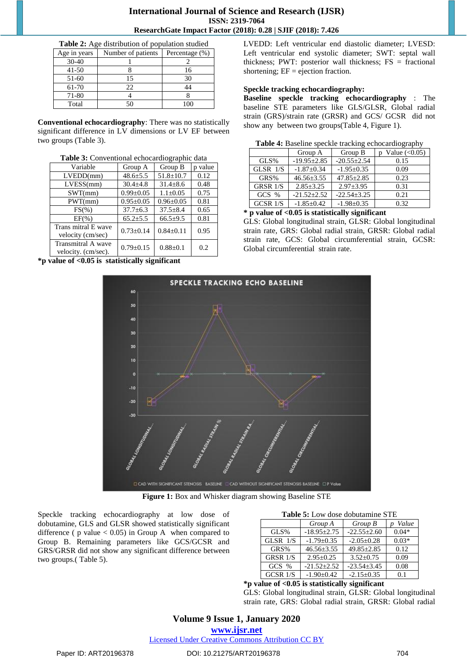**Table 2:** Age distribution of population studied

| Age in years | Number of patients | Percentage (%) |
|--------------|--------------------|----------------|
| $30 - 40$    |                    |                |
| $41 - 50$    |                    | 16             |
| 51-60        | 15                 | 30             |
| 61-70        | 22                 | 14             |
| 71-80        |                    |                |
| Total        |                    |                |

**Conventional echocardiography**: There was no statistically significant difference in LV dimensions or LV EF between two groups (Table 3).

| <b>Table 3:</b> Conventional echocardiographic data |                 |                 |         |  |
|-----------------------------------------------------|-----------------|-----------------|---------|--|
| Variable                                            | Group A         | Group B         | p value |  |
| LVEDD(mm)                                           | $48.6 \pm 5.5$  | $51.8 \pm 10.7$ | 0.12    |  |
| LVESS(mm)                                           | $30.4 \pm 4.8$  | $31.4 + 8.6$    | 0.48    |  |
| SWT(mm)                                             | $0.99 \pm 0.05$ | $1.1 \pm 0.05$  | 0.75    |  |
| PWT(mm)                                             | $0.95 \pm 0.05$ | $0.96 \pm 0.05$ | 0.81    |  |
| $FS(\%)$                                            | $37.7 \pm 6.3$  | $37.5 \pm 8.4$  | 0.65    |  |
| $EF(\% )$                                           | $65.2 \pm 5.5$  | $66.5 \pm 9.5$  | 0.81    |  |
| Trans mitral E wave<br>velocity (cm/sec)            | $0.73 \pm 0.14$ | $0.84 \pm 0.11$ | 0.95    |  |
| Transmitral A wave<br>velocity. (cm/sec).           | $0.79 \pm 0.15$ | $0.88 \pm 0.1$  | 0.2     |  |

**Table 3:** Conventional echocardiographic data

**\*p value of <0.05 is statistically significant**

LVEDD: Left ventricular end diastolic diameter; LVESD: Left ventricular end systolic diameter; SWT: septal wall thickness; PWT: posterior wall thickness;  $FS =$  fractional shortening;  $EF = ejection fraction$ .

### **Speckle tracking echocardiography:**

**Baseline speckle tracking echocardiography** : The baseline STE parameters like GLS/GLSR, Global radial strain (GRS)/strain rate (GRSR) and GCS/ GCSR did not show any between two groups(Table 4, Figure 1).

|  |  | Table 4: Baseline speckle tracking echocardiography |
|--|--|-----------------------------------------------------|
|  |  |                                                     |

|                 | Group A        | Group B           | Value $(<0.05)$ |
|-----------------|----------------|-------------------|-----------------|
| GLS%            | $-19.95+2.85$  | $-20.55 \pm 2.54$ | 0.15            |
| GLSR $1/S$      | $-1.87+0.34$   | $-1.95 \pm 0.35$  | 0.09            |
| GRS%            | $46.56 + 3.55$ | $47.85 \pm 2.85$  | 0.23            |
| <b>GRSR 1/S</b> | $2.85 + 3.25$  | $2.97 \pm 3.95$   | 0.31            |
| $GCS$ %         | $-21.52+2.52$  | $-22.54 \pm 3.25$ | 0.21            |
| $GCSR$ $1/S$    | $-1.85+0.42$   | $-1.98 + 0.35$    | 0.32            |

**<sup>\*</sup> p value of <0.05 is statistically significant**

GLS: Global longitudinal strain, GLSR: Global longitudinal strain rate, GRS: Global radial strain, GRSR: Global radial strain rate, GCS: Global circumferential strain, GCSR: Global circumferential strain rate.



**Figure 1:** Box and Whisker diagram showing Baseline STE

Speckle tracking echocardiography at low dose of dobutamine, GLS and GLSR showed statistically significant difference ( $p$  value  $< 0.05$ ) in Group A when compared to Group B. Remaining parameters like GCS/GCSR and GRS/GRSR did not show any significant difference between two groups.( Table 5).

| <b>Table 5:</b> Low dose dobutamine STE |                       |                   |         |  |
|-----------------------------------------|-----------------------|-------------------|---------|--|
|                                         | Group A<br>$Group\ B$ |                   | Value   |  |
| GLS%                                    | $-18.95 \pm 2.75$     | $-22.55 \pm 2.60$ | $0.04*$ |  |
| GLSR $1/S$                              | $-1.79 \pm 0.35$      | $-2.05 \pm 0.28$  | $0.03*$ |  |
| GRS%                                    | $46.56 \pm 3.55$      | $49.85 \pm 2.85$  | 0.12    |  |
| GRSR 1/S                                | $2.95+0.25$           | $3.52 + 0.75$     | 0.09    |  |
| GCS %                                   | $-21.52 \pm 2.52$     | $-23.54 \pm 3.45$ | 0.08    |  |
| $GCSR$ $1/S$                            | $-1.90 \pm 0.42$      | $-2.15 \pm 0.35$  | 0.1     |  |

### **\*p value of <0.05 is statistically significant**

GLS: Global longitudinal strain, GLSR: Global longitudinal strain rate, GRS: Global radial strain, GRSR: Global radial

# **Volume 9 Issue 1, January 2020**

**www.ijsr.net**

Licensed Under Creative Commons Attribution CC BY

### Paper ID: ART20196378 DOI: 10.21275/ART20196378 704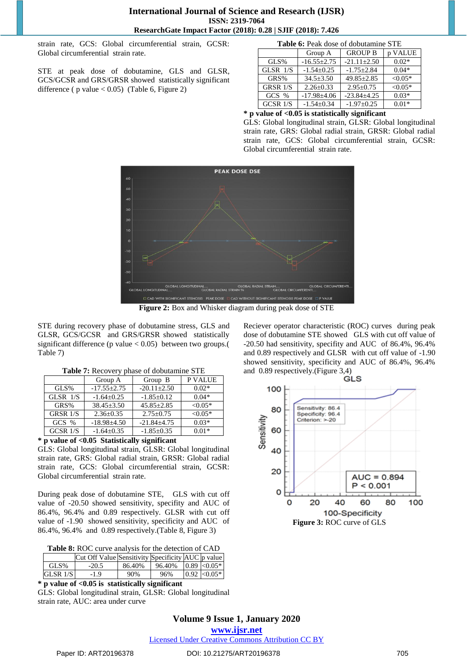strain rate, GCS: Global circumferential strain, GCSR: Global circumferential strain rate.

STE at peak dose of dobutamine, GLS and GLSR, GCS/GCSR and GRS/GRSR showed statistically significant difference ( $p$  value < 0.05) (Table 6, Figure 2)

| <b>Table 6:</b> Peak dose of dobutamine STE |                   |                   |           |  |  |
|---------------------------------------------|-------------------|-------------------|-----------|--|--|
|                                             | Group A           | <b>GROUP B</b>    | p VALUE   |  |  |
| GLS%                                        | $-16.55 \pm 2.75$ | $-21.11 \pm 2.50$ | $0.02*$   |  |  |
| GLSR $1/S$                                  | $-1.54 + 0.25$    | $-1.75 \pm 2.84$  | $0.04*$   |  |  |
| GRS%                                        | $34.5 \pm 3.50$   | $49.85 \pm 2.85$  | $< 0.05*$ |  |  |
| GRSR 1/S                                    | $2.26 \pm 0.33$   | $2.95 \pm 0.75$   | $< 0.05*$ |  |  |
| $GCS$ %                                     | $-17.98 \pm 4.06$ | $-23.84 \pm 4.25$ | $0.03*$   |  |  |
| GCSR 1/S                                    | $-1.54 \pm 0.34$  | $-1.97+0.25$      | $0.01*$   |  |  |
| .<br><br>ш.<br>. .                          |                   |                   |           |  |  |

### **\* p value of <0.05 is statistically significant**

GLS: Global longitudinal strain, GLSR: Global longitudinal strain rate, GRS: Global radial strain, GRSR: Global radial strain rate, GCS: Global circumferential strain, GCSR: Global circumferential strain rate.



**Figure 2:** Box and Whisker diagram during peak dose of STE

STE during recovery phase of dobutamine stress, GLS and GLSR, GCS/GCSR and GRS/GRSR showed statistically significant difference (p value  $< 0.05$ ) between two groups.( Table 7)

|                 | Group A           | Group B           | P VALUE   |
|-----------------|-------------------|-------------------|-----------|
| GLS%            | $-17.55 \pm 2.75$ | $-20.11 \pm 2.50$ | $0.02*$   |
| GLSR $1/S$      | $-1.64 \pm 0.25$  | $-1.85 \pm 0.12$  | $0.04*$   |
| GRS%            | $38.45 \pm 3.50$  | $45.85 \pm 2.85$  | $< 0.05*$ |
| <b>GRSR 1/S</b> | $2.36 \pm 0.35$   | $2.75 \pm 0.75$   | $< 0.05*$ |
| $GCS$ %         | $-18.98 \pm 4.50$ | $-21.84 \pm 4.75$ | $0.03*$   |
| $GCSR$ $1/S$    | $-1.64 \pm 0.35$  | $-1.85 \pm 0.35$  | $0.01*$   |

**Table 7:** Recovery phase of dobutamine STE

### **\* p value of <0.05 Statistically significant**

GLS: Global longitudinal strain, GLSR: Global longitudinal strain rate, GRS: Global radial strain, GRSR: Global radial strain rate, GCS: Global circumferential strain, GCSR: Global circumferential strain rate.

During peak dose of dobutamine STE, GLS with cut off value of -20.50 showed sensitivity, specifity and AUC of 86.4%, 96.4% and 0.89 respectively. GLSR with cut off value of -1.90 showed sensitivity, specificity and AUC of 86.4%, 96.4% and 0.89 respectively.(Table 8, Figure 3)

|            | Cut Off Value Sensitivity Specificity AUC p value |        |        |                  |
|------------|---------------------------------------------------|--------|--------|------------------|
| GLS%       | $-20.5$                                           | 86.40% | 96.40% | $0.89 \le 0.05*$ |
| GLSR 1/S l | -1.9                                              | 90%    | 96%    | $0.92 \le 0.05*$ |

**\* p value of <0.05 is statistically significant**

GLS: Global longitudinal strain, GLSR: Global longitudinal strain rate, AUC: area under curve

Reciever operator characteristic (ROC) curves during peak dose of dobutamine STE showed GLS with cut off value of -20.50 had sensitivity, specifity and AUC of 86.4%, 96.4% and 0.89 respectively and GLSR with cut off value of -1.90 showed sensitivity, specificity and AUC of 86.4%, 96.4% and 0.89 respectively.(Figure 3,4)



**Volume 9 Issue 1, January 2020 www.ijsr.net**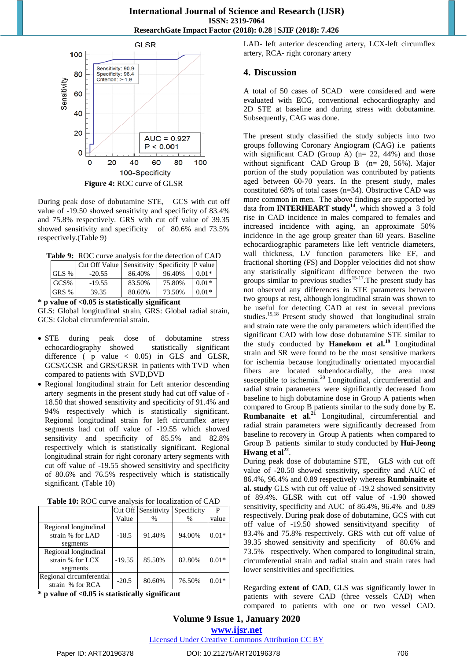

During peak dose of dobutamine STE, GCS with cut off value of -19.50 showed sensitivity and specificity of 83.4% and 75.8% respectively. GRS with cut off value of 39.35 showed sensitivity and specificity of 80.6% and 73.5% respectively.(Table 9)

**Table 9:** ROC curve analysis for the detection of CAD

|       | Cut Off Value |        | <b>Sensitivity Specificity P value</b> |         |
|-------|---------------|--------|----------------------------------------|---------|
| GLS % | $-20.55$      | 86.40% | 96.40%                                 | $0.01*$ |
| GCS%  | $-19.55$      | 83.50% | 75.80%                                 | $0.01*$ |
| GRS % | 39.35         | 80.60% | 73.50%                                 | $0.01*$ |

#### **\* p value of <0.05 is statistically significant**

GLS: Global longitudinal strain, GRS: Global radial strain, GCS: Global circumferential strain.

- STE during peak dose of dobutamine stress echocardiography showed statistically significant difference ( $p$  value  $\langle 0.05 \rangle$  in GLS and GLSR, GCS/GCSR and GRS/GRSR in patients with TVD when compared to patients with SVD,DVD
- Regional longitudinal strain for Left anterior descending artery segments in the present study had cut off value of - 18.50 that showed sensitivity and specificity of 91.4% and 94% respectively which is statistically significant. Regional longitudinal strain for left circumflex artery segments had cut off value of -19.55 which showed sensitivity and specificity of 85.5% and 82.8% respectively which is statistically significant. Regional longitudinal strain for right coronary artery segments with cut off value of -19.55 showed sensitivity and specificity of 80.6% and 76.5% respectively which is statistically significant. (Table 10)

| <b>Table To:</b> INOU can be allaryons for focalization of UTD |          |                     |             |         |  |
|----------------------------------------------------------------|----------|---------------------|-------------|---------|--|
|                                                                |          | Cut Off Sensitivity | Specificity | P       |  |
|                                                                | Value    | $\%$                | $\%$        | value   |  |
| Regional longitudinal                                          |          |                     |             |         |  |
| strain % for LAD                                               | $-18.5$  | 91.40%              | 94.00%      | $0.01*$ |  |
| segments                                                       |          |                     |             |         |  |
| Regional longitudinal                                          |          |                     |             |         |  |
| strain % for LCX                                               | $-19.55$ | 85.50%              | 82.80%      | $0.01*$ |  |
| segments                                                       |          |                     |             |         |  |
| Regional circumferential                                       | $-20.5$  | 80.60%              | 76.50%      | $0.01*$ |  |
| strain % for RCA                                               |          |                     |             |         |  |

**Table 10:** ROC curve analysis for localization of CAD

**\* p value of <0.05 is statistically significant**

LAD- left anterior descending artery, LCX-left circumflex artery, RCA- right coronary artery

### **4. Discussion**

A total of 50 cases of SCAD were considered and were evaluated with ECG, conventional echocardiography and 2D STE at baseline and during stress with dobutamine. Subsequently, CAG was done.

The present study classified the study subjects into two groups following Coronary Angiogram (CAG) i.e patients with significant CAD (Group A)  $(n= 22, 44%)$  and those without significant CAD Group B (n= 28, 56%). Major portion of the study population was contributed by patients aged between 60-70 years. In the present study, males constituted 68% of total cases (n=34). Obstructive CAD was more common in men. The above findings are supported by data from **INTERHEART study<sup>14</sup>**, which showed a 3 fold rise in CAD incidence in males compared to females and increased incidence with aging, an approximate 50% incidence in the age group greater than 60 years. Baseline echocardiographic parameters like left ventricle diameters, wall thickness, LV function parameters like EF, and fractional shorting (FS) and Doppler velocities did not show any statistically significant difference between the two groups similar to previous studies<sup>15-17</sup>. The present study has not observed any differences in STE parameters between two groups at rest, although longitudinal strain was shown to be useful for detecting CAD at rest in several previous studies.<sup>15,18</sup> Present study showed that longitudinal strain and strain rate were the only parameters which identified the significant CAD with low dose dobutamine STE similar to the study conducted by **Hanekom et al.<sup>19</sup>** Longitudinal strain and SR were found to be the most sensitive markers for ischemia because longitudinally orientated myocardial fibers are located subendocardially, the area most susceptible to ischemia.<sup>20</sup> Longitudinal, circumferential and radial strain parameters were significantly decreased from baseline to high dobutamine dose in Group A patients when compared to Group B patients similar to the sudy done by **E. Rumbanaite et al.<sup>21</sup>** Longitudinal, circumferential and radial strain parameters were significantly decreased from baseline to recovery in Group A patients when compared to Group B patients similar to study conducted by **Hui-Jeong**  Hwang et al<sup>22</sup>.

During peak dose of dobutamine STE, GLS with cut off value of -20.50 showed sensitivity, specifity and AUC of 86.4%, 96.4% and 0.89 respectively whereas **Rumbinaite et al. study** GLS with cut off value of -19.2 showed sensitivity of 89.4%. GLSR with cut off value of -1.90 showed sensitivity, specificity and AUC of 86.4%, 96.4% and 0.89 respectively. During peak dose of dobutamine, GCS with cut off value of -19.50 showed sensitivityand specifity of 83.4% and 75.8% respectively. GRS with cut off value of 39.35 showed sensitivity and specificity of 80.6% and 73.5% respectively. When compared to longitudinal strain, circumferential strain and radial strain and strain rates had lower sensitivities and specificities.

Regarding **extent of CAD**, GLS was significantly lower in patients with severe CAD (three vessels CAD) when compared to patients with one or two vessel CAD.

**Volume 9 Issue 1, January 2020 www.ijsr.net**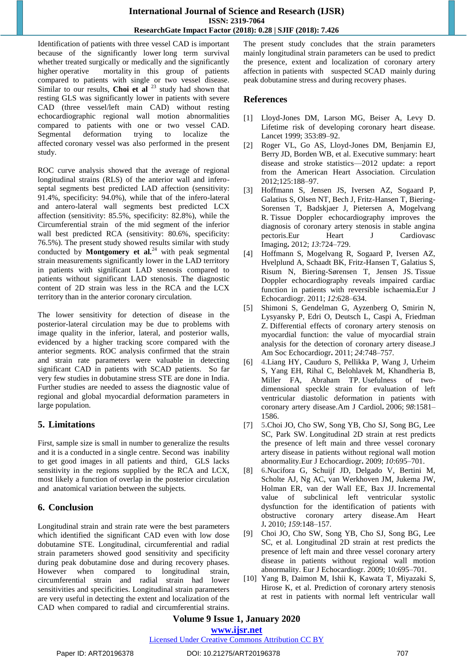Identification of patients with three vessel CAD is important because of the significantly lower [long term survival](https://www.sciencedirect.com/topics/medicine-and-dentistry/long-term-survival) whether treated surgically or medically and the significantly higher [operative mortality](https://www.sciencedirect.com/topics/medicine-and-dentistry/surgical-mortality) in this group of patients compared to patients with single or two vessel disease. Similar to our results, **Choi et al** <sup>23</sup> study had shown that resting GLS was significantly lower in patients with severe CAD (three vessel/left main CAD) without resting echocardiographic regional wall motion abnormalities compared to patients with one or two vessel CAD. Segmental deformation trying to localize the affected [coronary vessel](https://www.sciencedirect.com/topics/medicine-and-dentistry/coronary-vessel) was also performed in the present study.

ROC curve analysis showed that the average of regional longitudinal strains (RLS) of the anterior wall and inferoseptal segments best predicted LAD affection (sensitivity: 91.4%, specificity: 94.0%), while that of the infero-lateral and antero-lateral wall segments best predicted LCX affection (sensitivity: 85.5%, specificity: 82.8%), while the Circumferential strain of the mid segment of the inferior wall best predicted RCA (sensitivity: 80.6%, specificity: 76.5%). The present study showed results similar with study conducted by **Montgomery et al.**<sup>24</sup> with peak segmental strain measurements significantly lower in the LAD territory in patients with significant LAD stenosis compared to patients without significant LAD stenosis. The diagnostic content of 2D strain was less in the RCA and the LCX territory than in the anterior coronary circulation.

The lower sensitivity for detection of disease in the posterior-lateral circulation may be due to problems with image quality in the inferior, lateral, and posterior walls, evidenced by a higher tracking score compared with the anterior segments. ROC analysis confirmed that the strain and strain rate parameters were valuable in detecting significant CAD in patients with SCAD patients. So far very few studies in dobutamine stress STE are done in India. Further studies are needed to assess the diagnostic value of regional and global myocardial deformation parameters in large population.

# **5. Limitations**

First, sample size is small in number to generalize the results and it is a conducted in a single centre. Second was inability to get good images in all patients and third, GLS lacks sensitivity in the regions supplied by the RCA and LCX, most likely a function of overlap in the posterior circulation and anatomical variation between the subjects.

# **6. Conclusion**

Longitudinal strain and strain rate were the best parameters which identified the significant CAD even with low dose dobutamine STE. Longitudinal, circumferential and radial strain parameters showed good sensitivity and specificity during peak dobutamine dose and during recovery phases. However when compared to longitudinal strain, circumferential strain and radial strain had lower sensitivities and specificities. Longitudinal strain parameters are very useful in detecting the extent and localization of the CAD when compared to radial and circumferential strains. The present study concludes that the strain parameters mainly longitudinal strain parameters can be used to predict the presence, extent and localization of coronary artery affection in patients with suspected SCAD mainly during peak dobutamine stress and during recovery phases.

# **References**

- [1] Lloyd-Jones DM, Larson MG, Beiser A, Levy D. Lifetime risk of developing coronary heart disease. Lancet 1999; 353:89–92.
- [2] Roger VL, Go AS, Lloyd-Jones DM, Benjamin EJ, Berry JD, Borden WB, et al. Executive summary: heart disease and stroke statistics—2012 update: a report from the American Heart Association. Circulation 2012;125:188–97.
- [3] Hoffmann S, Jensen JS, Iversen AZ, Sogaard P, Galatius S, Olsen NT, Bech J, Fritz-Hansen T, Biering-Sorensen T, Badskjaer J, Pietersen A, Mogelvang R. Tissue Doppler echocardiography improves the diagnosis of coronary artery stenosis in stable angina pectoris.Eur Heart J Cardiovasc Imaging**.** 2012; *13*:724–729.
- [4] Hoffmann S, Mogelvang R, Sogaard P, Iversen AZ, Hvelplund A, Schaadt BK, Fritz-Hansen T, Galatius S, Risum N, Biering-Sørensen T, Jensen JS. Tissue Doppler echocardiography reveals impaired cardiac function in patients with reversible ischaemia**.**Eur J Echocardiogr. 2011; *12*:628–634.
- [5] Shimoni S, Gendelman G, Ayzenberg O, Smirin N, Lysyansky P, Edri O, Deutsch L, Caspi A, Friedman Z. Differential effects of coronary artery stenosis on myocardial function: the value of myocardial strain analysis for the detection of coronary artery disease.J Am Soc Echocardiogr**.** 2011; *24*:748–757.
- [6] **[4.](https://www.ahajournals.org/doi/full/10.1161/CIRCIMAGING.113.000989?url_ver=Z39.88-2003&rfr_id=ori%3Arid%3Acrossref.org&rfr_dat=cr_pub%3Dpubmed#R4R)**Liang HY, Cauduro S, Pellikka P, Wang J, Urheim S, Yang EH, Rihal C, Belohlavek M, Khandheria B, Miller FA, Abraham TP. Usefulness of twodimensional speckle strain for evaluation of left ventricular diastolic deformation in patients with coronary artery disease.Am J Cardiol**.** 2006; *98*:1581– 1586.
- [7] **[5.](https://www.ahajournals.org/doi/full/10.1161/CIRCIMAGING.113.000989?url_ver=Z39.88-2003&rfr_id=ori%3Arid%3Acrossref.org&rfr_dat=cr_pub%3Dpubmed#R5R)**Choi JO, Cho SW, Song YB, Cho SJ, Song BG, Lee SC, Park SW. Longitudinal 2D strain at rest predicts the presence of left main and three vessel coronary artery disease in patients without regional wall motion abnormality.Eur J Echocardiogr**.** 2009; *10*:695–701.
- [8] **[6.](https://www.ahajournals.org/doi/full/10.1161/CIRCIMAGING.113.000989?url_ver=Z39.88-2003&rfr_id=ori%3Arid%3Acrossref.org&rfr_dat=cr_pub%3Dpubmed#R6R)**Nucifora G, Schuijf JD, Delgado V, Bertini M, Scholte AJ, Ng AC, van Werkhoven JM, Jukema JW, Holman ER, van der Wall EE, Bax JJ. Incremental value of subclinical left ventricular systolic dysfunction for the identification of patients with obstructive coronary artery disease.Am Heart J**.** 2010; *159*:148–157.
- [9] Choi JO, Cho SW, Song YB, Cho SJ, Song BG, Lee SC, et al. Longitudinal 2D strain at rest predicts the presence of left main and three vessel coronary artery disease in patients without regional wall motion abnormality. Eur J Echocardiogr. 2009; 10:695–701.
- [10] Yang B, Daimon M, Ishii K, Kawata T, Miyazaki S, Hirose K, et al. Prediction of coronary artery stenosis at rest in patients with normal left ventricular wall

# **Volume 9 Issue 1, January 2020 www.ijsr.net**